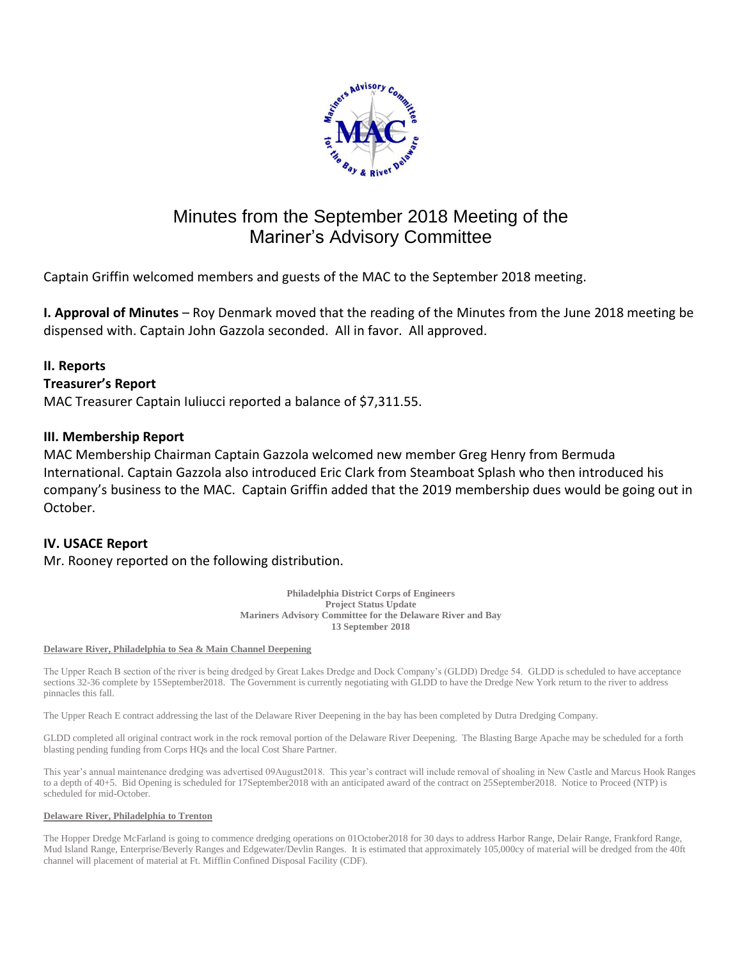

# Minutes from the September 2018 Meeting of the Mariner's Advisory Committee

Captain Griffin welcomed members and guests of the MAC to the September 2018 meeting.

**I. Approval of Minutes** – Roy Denmark moved that the reading of the Minutes from the June 2018 meeting be dispensed with. Captain John Gazzola seconded. All in favor. All approved.

## **II. Reports**

## **Treasurer's Report**

MAC Treasurer Captain Iuliucci reported a balance of \$7,311.55.

## **III. Membership Report**

MAC Membership Chairman Captain Gazzola welcomed new member Greg Henry from Bermuda International. Captain Gazzola also introduced Eric Clark from Steamboat Splash who then introduced his company's business to the MAC. Captain Griffin added that the 2019 membership dues would be going out in October.

## **IV. USACE Report**

Mr. Rooney reported on the following distribution.

**Philadelphia District Corps of Engineers Project Status Update Mariners Advisory Committee for the Delaware River and Bay 13 September 2018**

### **Delaware River, Philadelphia to Sea & Main Channel Deepening**

The Upper Reach B section of the river is being dredged by Great Lakes Dredge and Dock Company's (GLDD) Dredge 54. GLDD is scheduled to have acceptance sections 32-36 complete by 15September2018. The Government is currently negotiating with GLDD to have the Dredge New York return to the river to address pinnacles this fall.

The Upper Reach E contract addressing the last of the Delaware River Deepening in the bay has been completed by Dutra Dredging Company.

GLDD completed all original contract work in the rock removal portion of the Delaware River Deepening. The Blasting Barge Apache may be scheduled for a forth blasting pending funding from Corps HQs and the local Cost Share Partner.

This year's annual maintenance dredging was advertised 09August2018. This year's contract will include removal of shoaling in New Castle and Marcus Hook Ranges to a depth of 40+5. Bid Opening is scheduled for 17September2018 with an anticipated award of the contract on 25September2018. Notice to Proceed (NTP) is scheduled for mid-October.

### **Delaware River, Philadelphia to Trenton**

The Hopper Dredge McFarland is going to commence dredging operations on 01October2018 for 30 days to address Harbor Range, Delair Range, Frankford Range, Mud Island Range, Enterprise/Beverly Ranges and Edgewater/Devlin Ranges. It is estimated that approximately 105,000cy of material will be dredged from the 40ft channel will placement of material at Ft. Mifflin Confined Disposal Facility (CDF).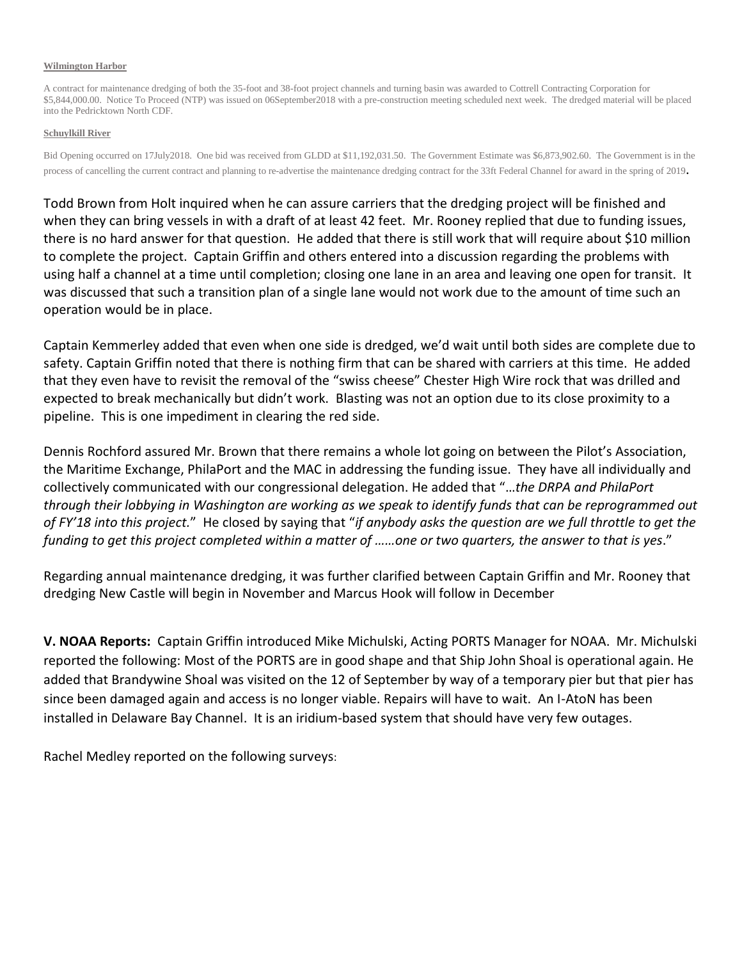### **Wilmington Harbor**

A contract for maintenance dredging of both the 35-foot and 38-foot project channels and turning basin was awarded to Cottrell Contracting Corporation for \$5,844,000.00. Notice To Proceed (NTP) was issued on 06September2018 with a pre-construction meeting scheduled next week. The dredged material will be placed into the Pedricktown North CDF.

### **Schuylkill River**

Bid Opening occurred on 17July2018. One bid was received from GLDD at \$11,192,031.50. The Government Estimate was \$6,873,902.60. The Government is in the process of cancelling the current contract and planning to re-advertise the maintenance dredging contract for the 33ft Federal Channel for award in the spring of <sup>2019</sup>.

Todd Brown from Holt inquired when he can assure carriers that the dredging project will be finished and when they can bring vessels in with a draft of at least 42 feet. Mr. Rooney replied that due to funding issues, there is no hard answer for that question. He added that there is still work that will require about \$10 million to complete the project. Captain Griffin and others entered into a discussion regarding the problems with using half a channel at a time until completion; closing one lane in an area and leaving one open for transit. It was discussed that such a transition plan of a single lane would not work due to the amount of time such an operation would be in place.

Captain Kemmerley added that even when one side is dredged, we'd wait until both sides are complete due to safety. Captain Griffin noted that there is nothing firm that can be shared with carriers at this time. He added that they even have to revisit the removal of the "swiss cheese" Chester High Wire rock that was drilled and expected to break mechanically but didn't work. Blasting was not an option due to its close proximity to a pipeline. This is one impediment in clearing the red side.

Dennis Rochford assured Mr. Brown that there remains a whole lot going on between the Pilot's Association, the Maritime Exchange, PhilaPort and the MAC in addressing the funding issue. They have all individually and collectively communicated with our congressional delegation. He added that "…*the DRPA and PhilaPort* through their lobbying in Washington are working as we speak to identify funds that can be reprogrammed out of FY'18 into this project." He closed by saying that "if anybody asks the question are we full throttle to get the funding to get this project completed within a matter of ......one or two quarters, the answer to that is yes."

Regarding annual maintenance dredging, it was further clarified between Captain Griffin and Mr. Rooney that dredging New Castle will begin in November and Marcus Hook will follow in December

**V. NOAA Reports:** Captain Griffin introduced Mike Michulski, Acting PORTS Manager for NOAA. Mr. Michulski reported the following: Most of the PORTS are in good shape and that Ship John Shoal is operational again. He added that Brandywine Shoal was visited on the 12 of September by way of a temporary pier but that pier has since been damaged again and access is no longer viable. Repairs will have to wait. An I-AtoN has been installed in Delaware Bay Channel. It is an iridium-based system that should have very few outages.

Rachel Medley reported on the following surveys: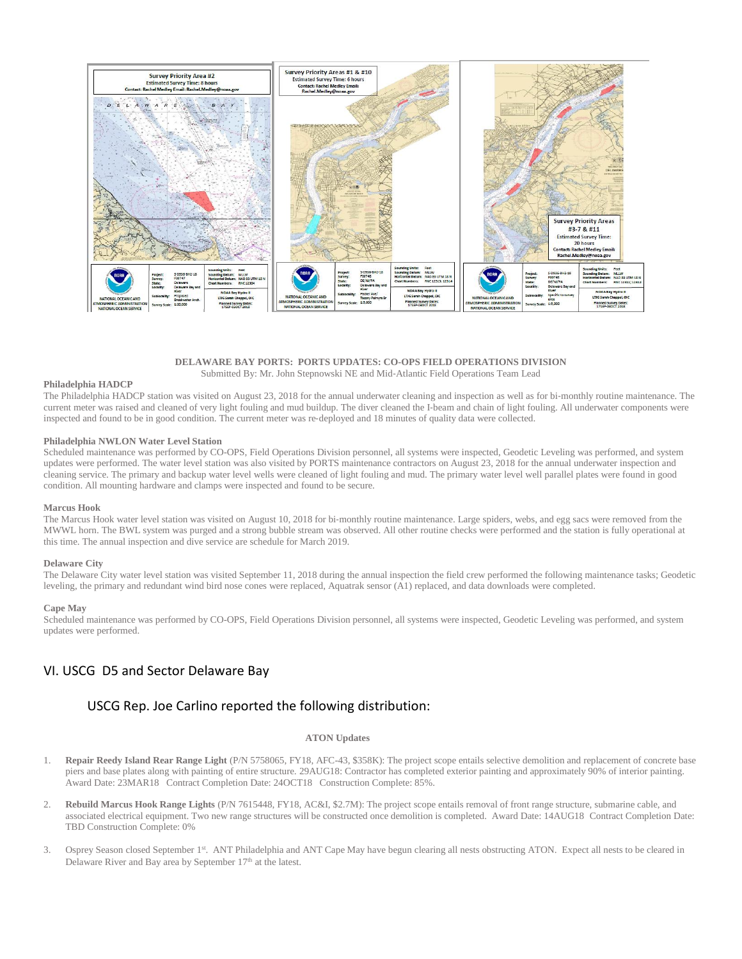

#### **DELAWARE BAY PORTS: PORTS UPDATES: CO-OPS FIELD OPERATIONS DIVISION** Submitted By: Mr. John Stepnowski NE and Mid‐Atlantic Field Operations Team Lead

#### **Philadelphia HADCP**

The Philadelphia HADCP station was visited on August 23, 2018 for the annual underwater cleaning and inspection as well as for bi-monthly routine maintenance. The current meter was raised and cleaned of very light fouling and mud buildup. The diver cleaned the I‐beam and chain of light fouling. All underwater components were inspected and found to be in good condition. The current meter was re-deployed and 18 minutes of quality data were collected.

#### **Philadelphia NWLON Water Level Station**

Scheduled maintenance was performed by CO-OPS, Field Operations Division personnel, all systems were inspected, Geodetic Leveling was performed, and system updates were performed. The water level station was also visited by PORTS maintenance contractors on August 23, 2018 for the annual underwater inspection and cleaning service. The primary and backup water level wells were cleaned of light fouling and mud. The primary water level well parallel plates were found in good condition. All mounting hardware and clamps were inspected and found to be secure.

#### **Marcus Hook**

The Marcus Hook water level station was visited on August 10, 2018 for bi-monthly routine maintenance. Large spiders, webs, and egg sacs were removed from the MWWL horn. The BWL system was purged and a strong bubble stream was observed. All other routine checks were performed and the station is fully operational at this time. The annual inspection and dive service are schedule for March 2019.

#### **Delaware City**

The Delaware City water level station was visited September 11, 2018 during the annual inspection the field crew performed the following maintenance tasks; Geodetic leveling, the primary and redundant wind bird nose cones were replaced, Aquatrak sensor (A1) replaced, and data downloads were completed.

#### **Cape May**

Scheduled maintenance was performed by CO-OPS, Field Operations Division personnel, all systems were inspected, Geodetic Leveling was performed, and system updates were performed.

### VI. USCG D5 and Sector Delaware Bay

### USCG Rep. Joe Carlino reported the following distribution:

### **ATON Updates**

- 1. **Repair Reedy Island Rear Range Light** (P/N 5758065, FY18, AFC-43, \$358K): The project scope entails selective demolition and replacement of concrete base piers and base plates along with painting of entire structure. 29AUG18: Contractor has completed exterior painting and approximately 90% of interior painting. Award Date: 23MAR18 Contract Completion Date: 24OCT18 Construction Complete: 85%.
- 2. **Rebuild Marcus Hook Range Lights** (P/N 7615448, FY18, AC&I, \$2.7M): The project scope entails removal of front range structure, submarine cable, and associated electrical equipment. Two new range structures will be constructed once demolition is completed. Award Date: 14AUG18 Contract Completion Date: TBD Construction Complete: 0%
- 3. Osprey Season closed September 1<sup>st</sup>. ANT Philadelphia and ANT Cape May have begun clearing all nests obstructing ATON. Expect all nests to be cleared in Delaware River and Bay area by September 17<sup>th</sup> at the latest.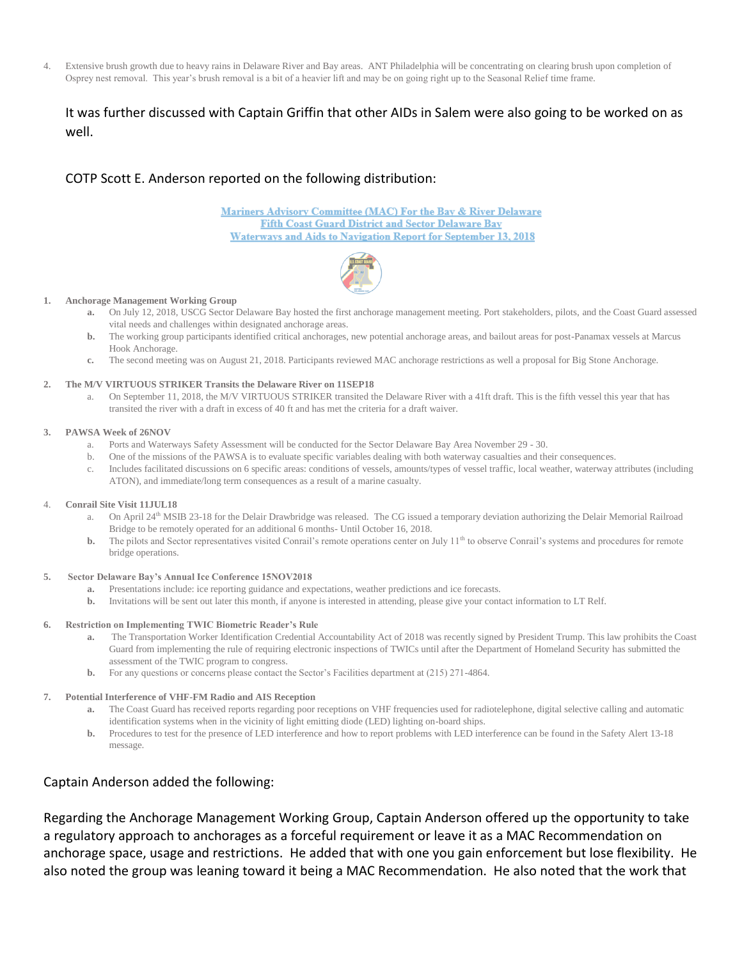4. Extensive brush growth due to heavy rains in Delaware River and Bay areas. ANT Philadelphia will be concentrating on clearing brush upon completion of Osprey nest removal. This year's brush removal is a bit of a heavier lift and may be on going right up to the Seasonal Relief time frame.

## It was further discussed with Captain Griffin that other AIDs in Salem were also going to be worked on as well.

### COTP Scott E. Anderson reported on the following distribution:

Mariners Advisory Committee (MAC) For the Bay & River Delaware Fifth Coast Guard District and Sector Delaware Bay **Waterways and Aids to Navigation Report for September 13, 2018** 



### **1. Anchorage Management Working Group**

- **a.** On July 12, 2018, USCG Sector Delaware Bay hosted the first anchorage management meeting. Port stakeholders, pilots, and the Coast Guard assessed vital needs and challenges within designated anchorage areas.
- **b.** The working group participants identified critical anchorages, new potential anchorage areas, and bailout areas for post-Panamax vessels at Marcus Hook Anchorage.
- **c.** The second meeting was on August 21, 2018. Participants reviewed MAC anchorage restrictions as well a proposal for Big Stone Anchorage.

### **2. The M/V VIRTUOUS STRIKER Transits the Delaware River on 11SEP18**

a. On September 11, 2018, the M/V VIRTUOUS STRIKER transited the Delaware River with a 41ft draft. This is the fifth vessel this year that has transited the river with a draft in excess of 40 ft and has met the criteria for a draft waiver.

#### **3. PAWSA Week of 26NOV**

- a. Ports and Waterways Safety Assessment will be conducted for the Sector Delaware Bay Area November 29 30.
- b. One of the missions of the PAWSA is to evaluate specific variables dealing with both waterway casualties and their consequences.
- c. Includes facilitated discussions on 6 specific areas: conditions of vessels, amounts/types of vessel traffic, local weather, waterway attributes (including ATON), and immediate/long term consequences as a result of a marine casualty.

#### 4. **Conrail Site Visit 11JUL18**

- On April 24<sup>th</sup> MSIB 23-18 for the Delair Drawbridge was released. The CG issued a temporary deviation authorizing the Delair Memorial Railroad Bridge to be remotely operated for an additional 6 months- Until October 16, 2018.
- **b.** The pilots and Sector representatives visited Conrail's remote operations center on July 11<sup>th</sup> to observe Conrail's systems and procedures for remote bridge operations.

#### **5. Sector Delaware Bay's Annual Ice Conference 15NOV2018**

- **a.** Presentations include: ice reporting guidance and expectations, weather predictions and ice forecasts.
- **b.** Invitations will be sent out later this month, if anyone is interested in attending, please give your contact information to LT Relf.

### **6. Restriction on Implementing TWIC Biometric Reader's Rule**

- **a.** The Transportation Worker Identification Credential Accountability Act of 2018 was recently signed by President Trump. This law prohibits the Coast Guard from implementing the rule of requiring electronic inspections of TWICs until after the Department of Homeland Security has submitted the assessment of the TWIC program to congress.
- **b.** For any questions or concerns please contact the Sector's Facilities department at (215) 271-4864.

#### **7. Potential Interference of VHF-FM Radio and AIS Reception**

- **a.** The Coast Guard has received reports regarding poor receptions on VHF frequencies used for radiotelephone, digital selective calling and automatic identification systems when in the vicinity of light emitting diode (LED) lighting on-board ships.
- **b.** Procedures to test for the presence of LED interference and how to report problems with LED interference can be found in the Safety Alert 13-18 message.

### Captain Anderson added the following:

Regarding the Anchorage Management Working Group, Captain Anderson offered up the opportunity to take a regulatory approach to anchorages as a forceful requirement or leave it as a MAC Recommendation on anchorage space, usage and restrictions. He added that with one you gain enforcement but lose flexibility. He also noted the group was leaning toward it being a MAC Recommendation. He also noted that the work that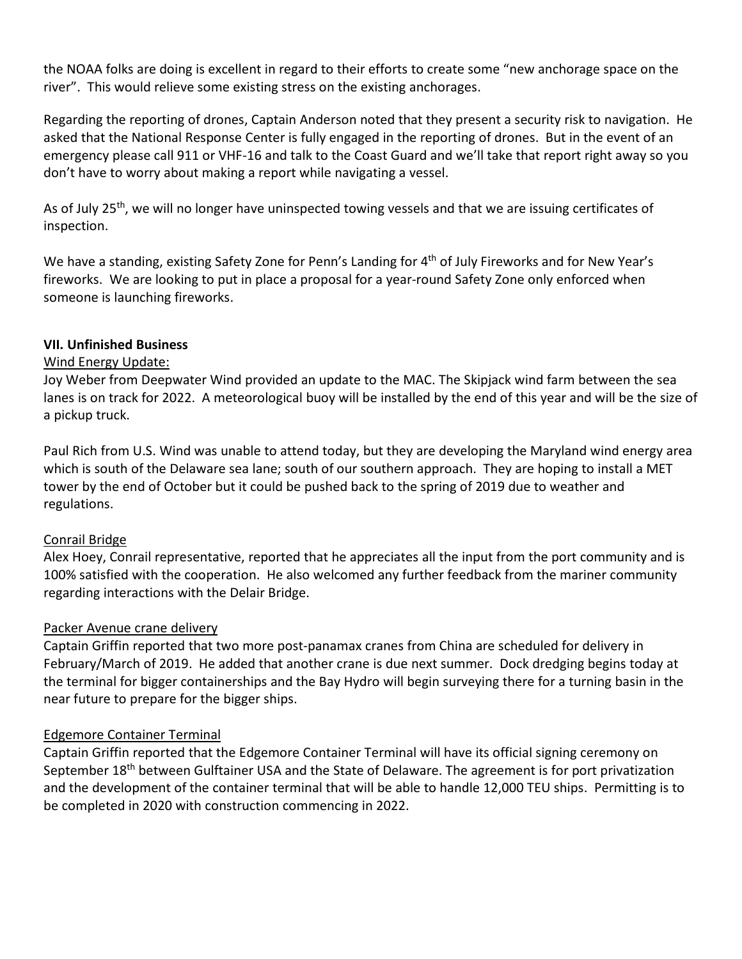the NOAA folks are doing is excellent in regard to their efforts to create some "new anchorage space on the river". This would relieve some existing stress on the existing anchorages.

Regarding the reporting of drones, Captain Anderson noted that they present a security risk to navigation. He asked that the National Response Center is fully engaged in the reporting of drones. But in the event of an emergency please call 911 or VHF-16 and talk to the Coast Guard and we'll take that report right away so you don't have to worry about making a report while navigating a vessel.

As of July 25<sup>th</sup>, we will no longer have uninspected towing vessels and that we are issuing certificates of inspection.

We have a standing, existing Safety Zone for Penn's Landing for 4<sup>th</sup> of July Fireworks and for New Year's fireworks. We are looking to put in place a proposal for a year-round Safety Zone only enforced when someone is launching fireworks.

## **VII. Unfinished Business**

## Wind Energy Update:

Joy Weber from Deepwater Wind provided an update to the MAC. The Skipjack wind farm between the sea lanes is on track for 2022. A meteorological buoy will be installed by the end of this year and will be the size of a pickup truck.

Paul Rich from U.S. Wind was unable to attend today, but they are developing the Maryland wind energy area which is south of the Delaware sea lane; south of our southern approach. They are hoping to install a MET tower by the end of October but it could be pushed back to the spring of 2019 due to weather and regulations.

## Conrail Bridge

Alex Hoey, Conrail representative, reported that he appreciates all the input from the port community and is 100% satisfied with the cooperation. He also welcomed any further feedback from the mariner community regarding interactions with the Delair Bridge.

## Packer Avenue crane delivery

Captain Griffin reported that two more post-panamax cranes from China are scheduled for delivery in February/March of 2019. He added that another crane is due next summer. Dock dredging begins today at the terminal for bigger containerships and the Bay Hydro will begin surveying there for a turning basin in the near future to prepare for the bigger ships.

## Edgemore Container Terminal

Captain Griffin reported that the Edgemore Container Terminal will have its official signing ceremony on September 18<sup>th</sup> between Gulftainer USA and the State of Delaware. The agreement is for port privatization and the development of the container terminal that will be able to handle 12,000 TEU ships. Permitting is to be completed in 2020 with construction commencing in 2022.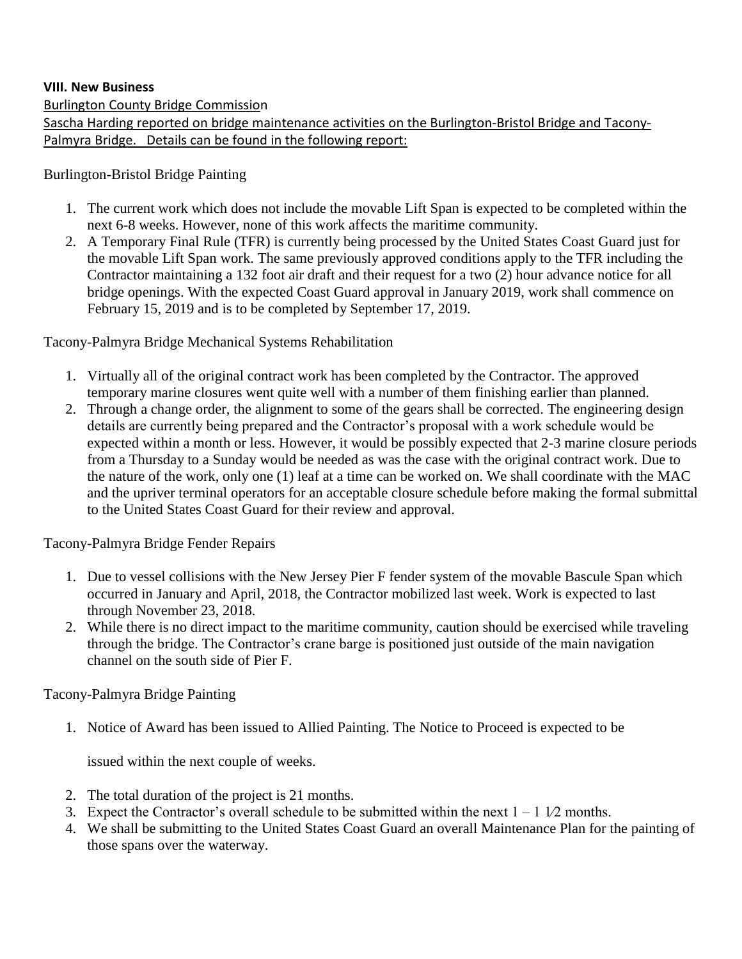## **VIII. New Business**

Burlington County Bridge Commission

Sascha Harding reported on bridge maintenance activities on the Burlington-Bristol Bridge and Tacony-Palmyra Bridge. Details can be found in the following report:

Burlington-Bristol Bridge Painting

- 1. The current work which does not include the movable Lift Span is expected to be completed within the next 6-8 weeks. However, none of this work affects the maritime community.
- 2. A Temporary Final Rule (TFR) is currently being processed by the United States Coast Guard just for the movable Lift Span work. The same previously approved conditions apply to the TFR including the Contractor maintaining a 132 foot air draft and their request for a two (2) hour advance notice for all bridge openings. With the expected Coast Guard approval in January 2019, work shall commence on February 15, 2019 and is to be completed by September 17, 2019.

Tacony-Palmyra Bridge Mechanical Systems Rehabilitation

- 1. Virtually all of the original contract work has been completed by the Contractor. The approved temporary marine closures went quite well with a number of them finishing earlier than planned.
- 2. Through a change order, the alignment to some of the gears shall be corrected. The engineering design details are currently being prepared and the Contractor's proposal with a work schedule would be expected within a month or less. However, it would be possibly expected that 2-3 marine closure periods from a Thursday to a Sunday would be needed as was the case with the original contract work. Due to the nature of the work, only one (1) leaf at a time can be worked on. We shall coordinate with the MAC and the upriver terminal operators for an acceptable closure schedule before making the formal submittal to the United States Coast Guard for their review and approval.

Tacony-Palmyra Bridge Fender Repairs

- 1. Due to vessel collisions with the New Jersey Pier F fender system of the movable Bascule Span which occurred in January and April, 2018, the Contractor mobilized last week. Work is expected to last through November 23, 2018.
- 2. While there is no direct impact to the maritime community, caution should be exercised while traveling through the bridge. The Contractor's crane barge is positioned just outside of the main navigation channel on the south side of Pier F.

## Tacony-Palmyra Bridge Painting

1. Notice of Award has been issued to Allied Painting. The Notice to Proceed is expected to be

issued within the next couple of weeks.

- 2. The total duration of the project is 21 months.
- 3. Expect the Contractor's overall schedule to be submitted within the next  $1 1$  1/2 months.
- 4. We shall be submitting to the United States Coast Guard an overall Maintenance Plan for the painting of those spans over the waterway.